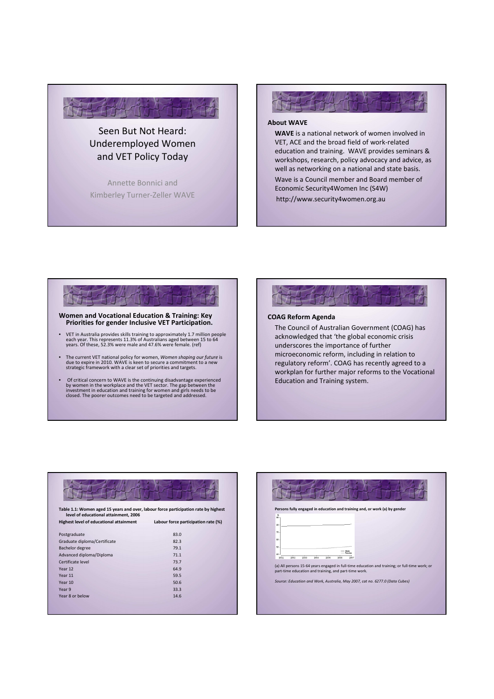

# Seen But Not Heard: Underemployed Women and VET Policy Today

Annette Bonnici and Kimberley Turner-Zeller WAVE

# About WAVE

WAVE is a national network of women involved in VET, ACE and the broad field of work-related education and training. WAVE provides seminars & workshops, research, policy advocacy and advice, as well as networking on a national and state basis.

Wave is a Council member and Board member of Economic Security4Women Inc (S4W) http://www.security4women.org.au

# Women and Vocational Education & Training: Key Priorities for gender Inclusive VET Participation.

- VET in Australia provides skills training to approximately 1.7 million people each year. This represents 11.3% of Australians aged between 15 to 64 years. Of these, 52.3% were male and 47.6% were female. (ref)
- The current VET national policy for women, *Women shaping our future* is<br>due to expire in 2010. WAVE is keen to secure a commitment to a new<br>strategic framework with a clear set of priorities and targets.
- Of critical concern to WAVE is the continuing disadvantage experienced<br>by women in the workplace and the VET sector. The gap between the<br>investment in education and training for women and girls needs to be<br>losed. The poo



# COAG Reform Agenda

The Council of Australian Government (COAG) has acknowledged that 'the global economic crisis underscores the importance of further microeconomic reform, including in relation to regulatory reform'. COAG has recently agreed to a workplan for further major reforms to the Vocational Education and Training system.

Table 1.1: Women aged 15 years and over, labour force participation rate by highest level of educational attainment, 2006

| Highest level of educational attainment | Labour force participation rate (%) |
|-----------------------------------------|-------------------------------------|
| Postgraduate                            | 83.0                                |
| Graduate diploma/Certificate            | 82.3                                |
| Bachelor degree                         | 79 1                                |

| <b>Bachelor degree</b>   | 79.1 |
|--------------------------|------|
| Advanced diploma/Diploma | 71.1 |
| Certificate level        | 73.7 |
| Year 12                  | 64.9 |
| Year 11                  | 59.5 |
| Year 10                  | 50.6 |
| Year 9                   | 33.3 |
| Year 8 or below          | 14.6 |
|                          |      |

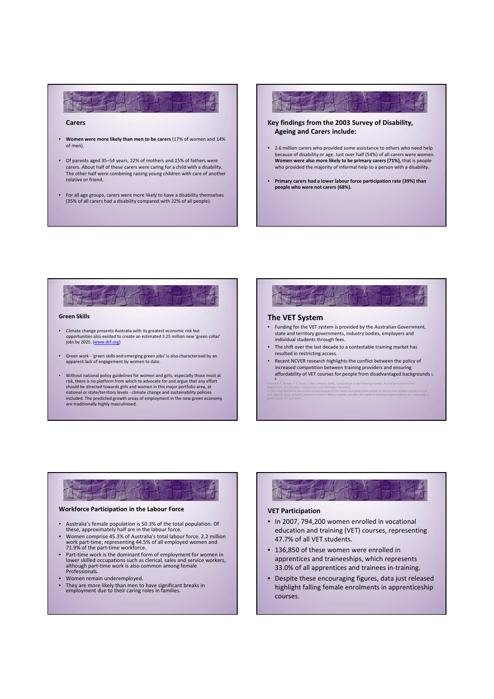# Carers

- Women were more likely than men to be carers (17% of women and 14% of men).
- Of parents aged 35–54 years, 22% of mothers and 15% of fathers were carers. About half of these carers were caring for a child with a disability. The other half were combining raising young children with care of another relative or friend.
- For all age groups, carers were more likely to have a disability themselves (35% of all carers had a disability compared with 22% of all people).

Key findings from the 2003 Survey of Disability, Ageing and Carers include:

- 2.6 million carers who provided some assistance to others who need help because of disability or age. Just over half (54%) of all carers were women.<br>**Women were also more likely to be primary carers (71%),** that is people who provided the majority of informal help to a person with a disability.
- Primary carers had a lower labour force participation rate (39%) than people who were not carers (68%).

## Green Skills

- Climate change presents Australia with its greatest economic risk but opportunities also existed to create an estimated 3.25 million new 'green collar' jobs by 2025. (www.dsf.org)
- Green work 'green skills and emerging green jobs' is also characterised by an apparent lack of engagement by women to date.
- Without national policy guidelines for women and girls, especially those most at risk, there is no platform from which to advocate for and argue that any effort should be directed towards girls and women in this major portfolio area, at national or state/territory levels - climate change and sustainability policies included. The predicted growth areas of employment in the new green economy are traditionally highly masculinised.

# The VET System • Funding for the VET system is provided by the Australian Government, state and territory governments, industry bodies, employers and individual students through fees. • The shift over the last decade to a contestable training market has resulted in restricting access.

• Recent NCVER research highlights the conflict between the policy of increased competition between training providers and ensuring affordability of VET courses for people from disadvantaged backgrounds 5, 6

5 Karmel, T, Beddie, F & Dawe, S (Eds.) (March 2009), Competition in the Training Market, Australian Government, Department of Education, Employment and Workplace Relations 6 This is highlighted by the recent announcement of the South Australian government to remove low uptake courses in rural<br>and regional areas including women's studies. Where markets are thin, the needs of disadvantaged stu

# Workforce Participation in the Labour Force

- Australia's female population is 50.3% of the total population. Of these, approximately half are in the labour force.
- Women comprise 45.3% of Australia's total labour force. 2.2 million work part-time, representing 44.5% of all employed women and 71.9% of the part-time workforce.
- Part-time work is the dominant form of employment for women in lower skilled occupations such as clerical, sales and service workers, although part-time work is also common among female Professionals.
- Women remain underemployed.
- They are more likely than men to have significant breaks in employment due to their caring roles in families.



# VET Participation

- In 2007, 794,200 women enrolled in vocational education and training (VET) courses, representing 47.7% of all VET students.
- 136,850 of these women were enrolled in apprentices and traineeships, which represents 33.0% of all apprentices and trainees in-training.
- Despite these encouraging figures, data just released highlight falling female enrolments in apprenticeship courses.